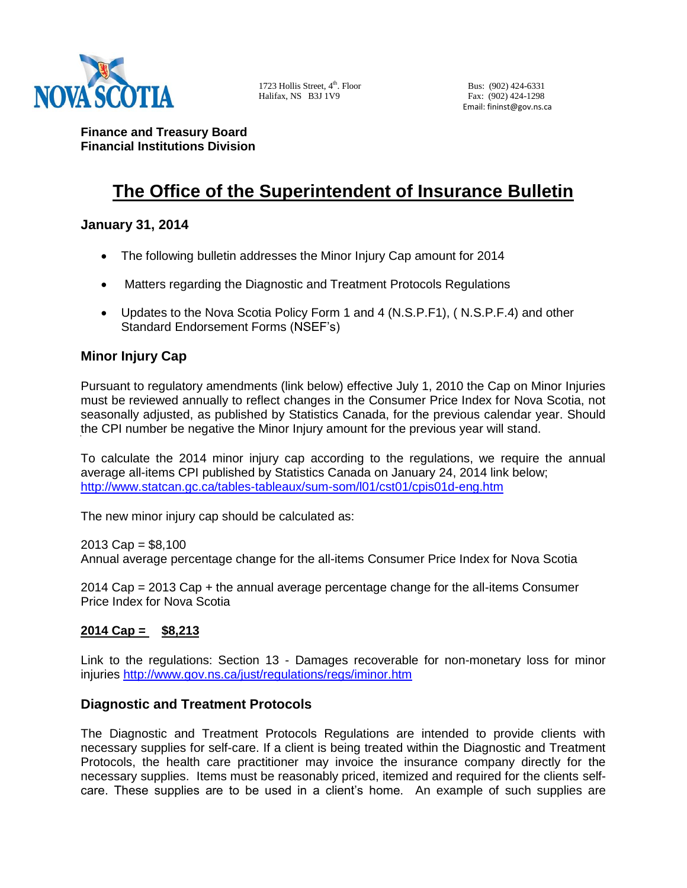

1723 Hollis Street, 4<sup>th</sup>. Floor Bus: (902) 424-6331 Halifax, NS B3J 1V9 Fax: (902) 424-1298

Email: fininst@gov.ns.ca

**Finance and Treasury Board Financial Institutions Division**

# **The Office of the Superintendent of Insurance Bulletin**

# **January 31, 2014**

- The following bulletin addresses the Minor Injury Cap amount for 2014
- Matters regarding the Diagnostic and Treatment Protocols Regulations
- Updates to the Nova Scotia Policy Form 1 and 4 (N.S.P.F1), ( N.S.P.F.4) and other Standard Endorsement Forms (NSEF's)

# **Minor Injury Cap**

Pursuant to regulatory amendments (link below) effective July 1, 2010 the Cap on Minor Injuries must be reviewed annually to reflect changes in the Consumer Price Index for Nova Scotia, not seasonally adjusted, as published by Statistics Canada, for the previous calendar year. Should the CPI number be negative the Minor Injury amount for the previous year will stand.

To calculate the 2014 minor injury cap according to the regulations, we require the annual average all-items CPI published by Statistics Canada on January 24, 2014 link below; <http://www.statcan.gc.ca/tables-tableaux/sum-som/l01/cst01/cpis01d-eng.htm>

The new minor injury cap should be calculated as:

 $2013$  Cap = \$8,100

Annual average percentage change for the all-items Consumer Price Index for Nova Scotia

2014 Cap = 2013 Cap + the annual average percentage change for the all-items Consumer Price Index for Nova Scotia

## **2014 Cap = \$8,213**

Link to the regulations: Section 13 - Damages recoverable for non-monetary loss for minor injuries<http://www.gov.ns.ca/just/regulations/regs/iminor.htm>

### **Diagnostic and Treatment Protocols**

The Diagnostic and Treatment Protocols Regulations are intended to provide clients with necessary supplies for self-care. If a client is being treated within the Diagnostic and Treatment Protocols, the health care practitioner may invoice the insurance company directly for the necessary supplies. Items must be reasonably priced, itemized and required for the clients selfcare. These supplies are to be used in a client's home. An example of such supplies are